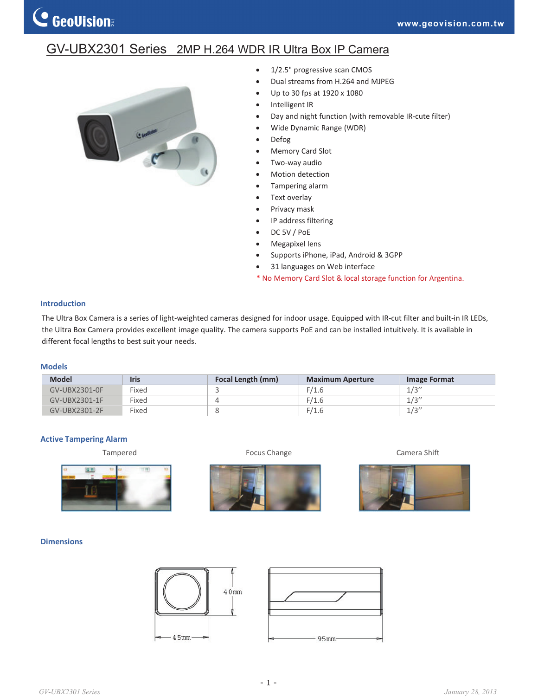## GV-UBX2301 Series 2MP H.264 WDR IR Ultra Box IP Camera



- $\bullet$  1/2.5" progressive scan CMOS
- Dual streams from H.264 and MJPEG
- Up to 30 fps at 1920 x 1080
- Intelligent IR
- Day and night function (with removable IR-cute filter)
- Wide Dynamic Range (WDR)
- Defog
- Memory Card Slot
- Two-way audio
- Motion detection
- Tampering alarm
- Text overlay
- Privacy mask
- IP address filtering
- DC 5V / PoE
- Megapixel lens
- Supports iPhone, iPad, Android & 3GPP
- 31 languages on Web interface
- \* No Memory Card Slot & local storage function for Argentina.

### **Introduction**

The Ultra Box Camera is a series of light-weighted cameras designed for indoor usage. Equipped with IR-cut filter and built-in IR LEDs, the Ultra Box Camera provides excellent image quality. The camera supports PoE and can be installed intuitively. It is available in different focal lengths to best suit your needs.

#### **Models**

| <b>Model</b>     | <b>Iris</b> | Focal Length (mm) | <b>Maximum Aperture</b> | Image Format |
|------------------|-------------|-------------------|-------------------------|--------------|
| GV-UBX2301-0F    | Fixed       |                   | F/1.6                   | 1/3''        |
| GV-UBX2301-1F    | Fixed       |                   | F/1.6                   | 1/3''        |
| $GV$ -URX2301-2F | Fixed       |                   | F/1.6                   | 1/3''        |

#### **Active Tampering Alarm**









### **Dimensions**





*GV-UBX2301 Series January 28, 2013*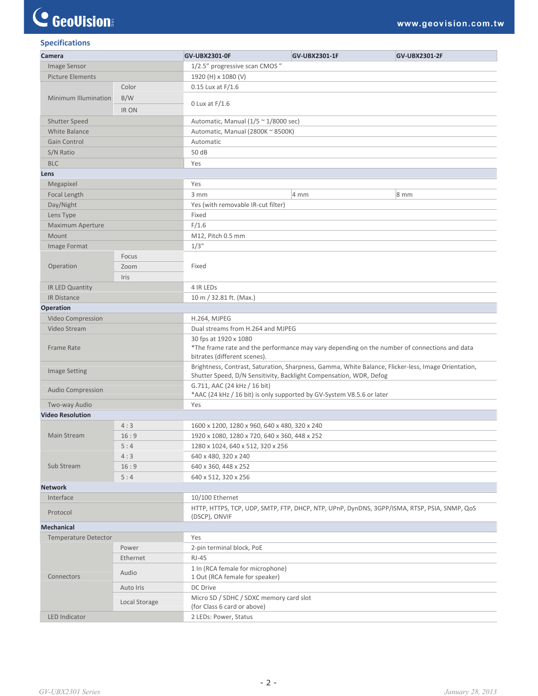# C GeoVision

| <b>Specifications</b> |  |
|-----------------------|--|
|                       |  |

| Camera                      |               | <b>GV-UBX2301-0F</b>                                                                                                                                                      | GV-UBX2301-1F                                                         | <b>GV-UBX2301-2F</b> |  |  |  |
|-----------------------------|---------------|---------------------------------------------------------------------------------------------------------------------------------------------------------------------------|-----------------------------------------------------------------------|----------------------|--|--|--|
| Image Sensor                |               | 1/2.5" progressive scan CMOS"                                                                                                                                             |                                                                       |                      |  |  |  |
| <b>Picture Elements</b>     |               | 1920 (H) x 1080 (V)                                                                                                                                                       |                                                                       |                      |  |  |  |
| Minimum Illumination        | Color         | $0.15$ Lux at $F/1.6$                                                                                                                                                     |                                                                       |                      |  |  |  |
|                             | B/W           |                                                                                                                                                                           |                                                                       |                      |  |  |  |
|                             | <b>IR ON</b>  | 0 Lux at $F/1.6$                                                                                                                                                          |                                                                       |                      |  |  |  |
| <b>Shutter Speed</b>        |               |                                                                                                                                                                           |                                                                       |                      |  |  |  |
| White Balance               |               | Automatic, Manual (2800K ~ 8500K)                                                                                                                                         | Automatic, Manual ( $1/5 \approx 1/8000$ sec)                         |                      |  |  |  |
| Gain Control                |               | Automatic                                                                                                                                                                 |                                                                       |                      |  |  |  |
| S/N Ratio                   |               | 50 dB                                                                                                                                                                     |                                                                       |                      |  |  |  |
| <b>BLC</b>                  |               | Yes                                                                                                                                                                       |                                                                       |                      |  |  |  |
| Lens                        |               |                                                                                                                                                                           |                                                                       |                      |  |  |  |
| Megapixel                   |               | Yes                                                                                                                                                                       |                                                                       |                      |  |  |  |
| Focal Length                |               | 3 mm                                                                                                                                                                      | 4 mm                                                                  | $8 \, \text{mm}$     |  |  |  |
| Day/Night                   |               | Yes (with removable IR-cut filter)                                                                                                                                        |                                                                       |                      |  |  |  |
| Lens Type                   |               | Fixed                                                                                                                                                                     |                                                                       |                      |  |  |  |
| Maximum Aperture            |               | F/1.6                                                                                                                                                                     |                                                                       |                      |  |  |  |
| Mount                       |               | M12, Pitch 0.5 mm                                                                                                                                                         |                                                                       |                      |  |  |  |
| Image Format                |               | 1/3''                                                                                                                                                                     |                                                                       |                      |  |  |  |
|                             | Focus         |                                                                                                                                                                           |                                                                       |                      |  |  |  |
| Operation                   | Zoom          | Fixed                                                                                                                                                                     |                                                                       |                      |  |  |  |
|                             | Iris          |                                                                                                                                                                           |                                                                       |                      |  |  |  |
| IR LED Quantity             |               | 4 IR LEDS                                                                                                                                                                 |                                                                       |                      |  |  |  |
| <b>IR Distance</b>          |               | 10 m / 32.81 ft. (Max.)                                                                                                                                                   |                                                                       |                      |  |  |  |
| Operation                   |               |                                                                                                                                                                           |                                                                       |                      |  |  |  |
| Video Compression           |               | H.264, MJPEG                                                                                                                                                              |                                                                       |                      |  |  |  |
| Video Stream                |               |                                                                                                                                                                           | Dual streams from H.264 and MJPEG                                     |                      |  |  |  |
| <b>Frame Rate</b>           |               | 30 fps at 1920 x 1080<br>*The frame rate and the performance may vary depending on the number of connections and data<br>bitrates (different scenes).                     |                                                                       |                      |  |  |  |
| <b>Image Setting</b>        |               | Brightness, Contrast, Saturation, Sharpness, Gamma, White Balance, Flicker-less, Image Orientation,<br>Shutter Speed, D/N Sensitivity, Backlight Compensation, WDR, Defog |                                                                       |                      |  |  |  |
| Audio Compression           |               | G.711, AAC (24 kHz / 16 bit)                                                                                                                                              | *AAC (24 kHz / 16 bit) is only supported by GV-System V8.5.6 or later |                      |  |  |  |
| Two-way Audio               |               | Yes                                                                                                                                                                       |                                                                       |                      |  |  |  |
| <b>Video Resolution</b>     |               |                                                                                                                                                                           |                                                                       |                      |  |  |  |
|                             | 4:3           | 1600 x 1200, 1280 x 960, 640 x 480, 320 x 240                                                                                                                             |                                                                       |                      |  |  |  |
| Main Stream                 | 16:9          | 1920 x 1080, 1280 x 720, 640 x 360, 448 x 252                                                                                                                             |                                                                       |                      |  |  |  |
|                             | 5:4           | 1280 x 1024, 640 x 512, 320 x 256                                                                                                                                         |                                                                       |                      |  |  |  |
|                             | 4:3           | 640 x 480, 320 x 240                                                                                                                                                      |                                                                       |                      |  |  |  |
| Sub Stream                  | 16:9          | 640 x 360, 448 x 252                                                                                                                                                      |                                                                       |                      |  |  |  |
|                             | 5:4           | 640 x 512, 320 x 256                                                                                                                                                      |                                                                       |                      |  |  |  |
| <b>Network</b>              |               |                                                                                                                                                                           |                                                                       |                      |  |  |  |
| Interface                   |               | 10/100 Ethernet                                                                                                                                                           |                                                                       |                      |  |  |  |
| Protocol                    |               | HTTP, HTTPS, TCP, UDP, SMTP, FTP, DHCP, NTP, UPnP, DynDNS, 3GPP/ISMA, RTSP, PSIA, SNMP, QoS<br>(DSCP), ONVIF                                                              |                                                                       |                      |  |  |  |
| <b>Mechanical</b>           |               |                                                                                                                                                                           |                                                                       |                      |  |  |  |
| <b>Temperature Detector</b> |               | Yes                                                                                                                                                                       |                                                                       |                      |  |  |  |
| Connectors                  | Power         | 2-pin terminal block, PoE                                                                                                                                                 |                                                                       |                      |  |  |  |
|                             | Ethernet      | $RJ-45$                                                                                                                                                                   |                                                                       |                      |  |  |  |
|                             | Audio         | 1 Out (RCA female for speaker)                                                                                                                                            | 1 In (RCA female for microphone)                                      |                      |  |  |  |
|                             | Auto Iris     | DC Drive                                                                                                                                                                  |                                                                       |                      |  |  |  |
|                             | Local Storage | Micro SD / SDHC / SDXC memory card slot<br>(for Class 6 card or above)                                                                                                    |                                                                       |                      |  |  |  |
| LED Indicator               |               | 2 LEDs: Power, Status                                                                                                                                                     |                                                                       |                      |  |  |  |